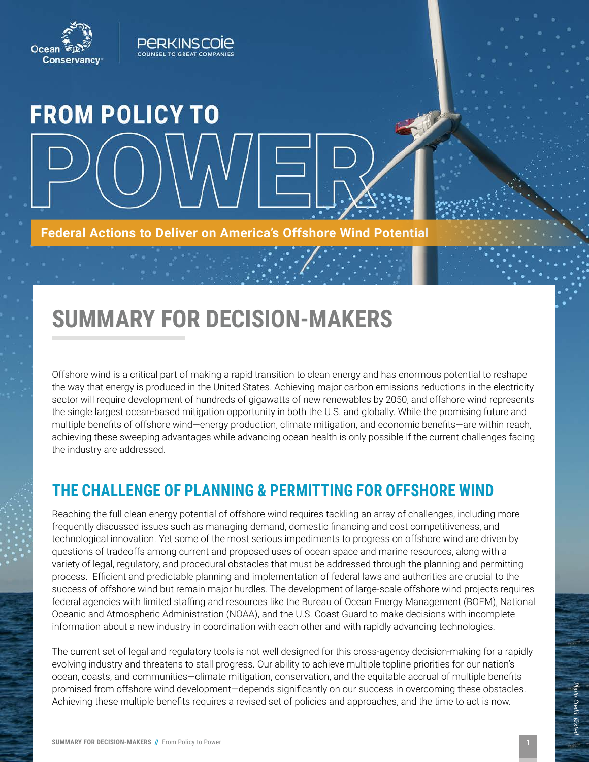



# **FROM POLICY TO**

**Federal Actions to Deliver on America's Offshore Wind Potential** 

# **SUMMARY FOR DECISION-MAKERS**

Offshore wind is a critical part of making a rapid transition to clean energy and has enormous potential to reshape the way that energy is produced in the United States. Achieving major carbon emissions reductions in the electricity sector will require development of hundreds of gigawatts of new renewables by 2050, and offshore wind represents the single largest ocean-based mitigation opportunity in both the U.S. and globally. While the promising future and multiple benefits of offshore wind—energy production, climate mitigation, and economic benefits—are within reach, achieving these sweeping advantages while advancing ocean health is only possible if the current challenges facing the industry are addressed.

### **THE CHALLENGE OF PLANNING & PERMITTING FOR OFFSHORE WIND**

Reaching the full clean energy potential of offshore wind requires tackling an array of challenges, including more frequently discussed issues such as managing demand, domestic financing and cost competitiveness, and technological innovation. Yet some of the most serious impediments to progress on offshore wind are driven by questions of tradeoffs among current and proposed uses of ocean space and marine resources, along with a variety of legal, regulatory, and procedural obstacles that must be addressed through the planning and permitting process. Efficient and predictable planning and implementation of federal laws and authorities are crucial to the success of offshore wind but remain major hurdles. The development of large-scale offshore wind projects requires federal agencies with limited staffing and resources like the Bureau of Ocean Energy Management (BOEM), National Oceanic and Atmospheric Administration (NOAA), and the U.S. Coast Guard to make decisions with incomplete information about a new industry in coordination with each other and with rapidly advancing technologies.

The current set of legal and regulatory tools is not well designed for this cross-agency decision-making for a rapidly evolving industry and threatens to stall progress. Our ability to achieve multiple topline priorities for our nation's ocean, coasts, and communities—climate mitigation, conservation, and the equitable accrual of multiple benefits promised from offshore wind development—depends significantly on our success in overcoming these obstacles. Achieving these multiple benefits requires a revised set of policies and approaches, and the time to act is now.

*Photo Credit: Ørsted*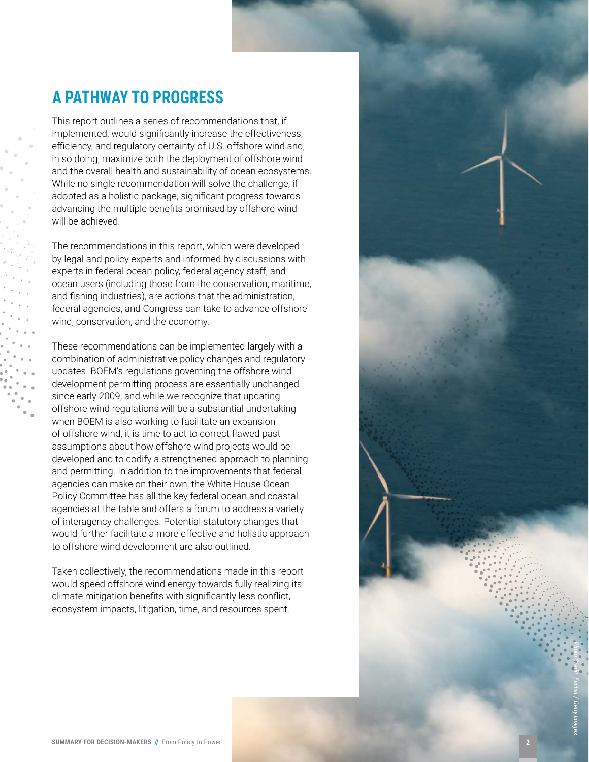### **A PATHWAY TO PROGRESS**

This report outlines a series of recommendations that, if implemented, would significantly increase the effectiveness, efficiency, and regulatory certainty of U.S. offshore wind and, in so doing, maximize both the deployment of offshore wind and the overall health and sustainability of ocean ecosystems. While no single recommendation will solve the challenge, if adopted as a holistic package, significant progress towards advancing the multiple benefits promised by offshore wind will be achieved.

The recommendations in this report, which were developed by legal and policy experts and informed by discussions with experts in federal ocean policy, federal agency staff, and ocean users (including those from the conservation, maritime, and fishing industries), are actions that the administration, federal agencies, and Congress can take to advance offshore wind, conservation, and the economy.

These recommendations can be implemented largely with a combination of administrative policy changes and regulatory updates. BOEM's regulations governing the offshore wind development permitting process are essentially unchanged since early 2009, and while we recognize that updating offshore wind regulations will be a substantial undertaking when BOEM is also working to facilitate an expansion of offshore wind, it is time to act to correct flawed past assumptions about how offshore wind projects would be developed and to codify a strengthened approach to planning and permitting. In addition to the improvements that federal agencies can make on their own, the White House Ocean Policy Committee has all the key federal ocean and coastal agencies at the table and offers a forum to address a variety of interagency challenges. Potential statutory changes that would further facilitate a more effective and holistic approach to offshore wind development are also outlined.

Taken collectively, the recommendations made in this report would speed offshore wind energy towards fully realizing its climate mitigation benefits with significantly less conflict, ecosystem impacts, litigation, time, and resources spent.

*Photo Credit: Eachat / Getty Images*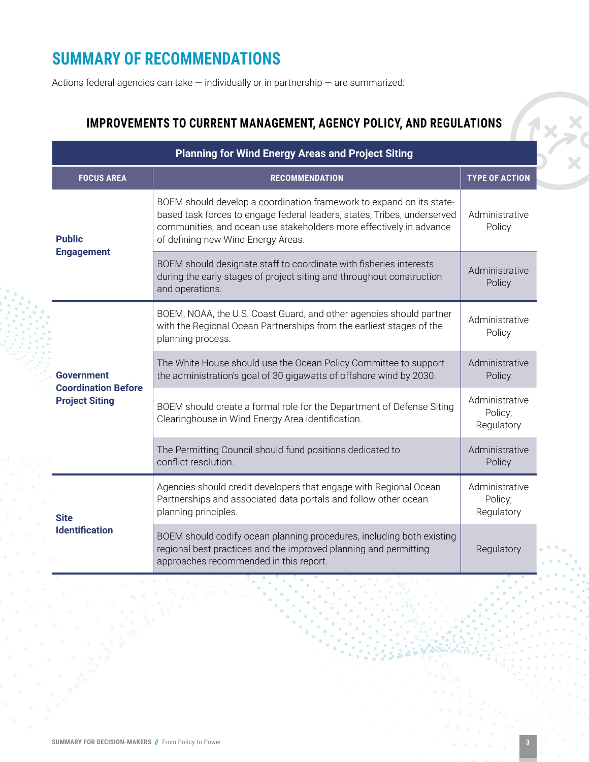## **SUMMARY OF RECOMMENDATIONS**

Actions federal agencies can take — individually or in partnership — are summarized:

### **IMPROVEMENTS TO CURRENT MANAGEMENT, AGENCY POLICY, AND REGULATIONS**

| <b>Planning for Wind Energy Areas and Project Siting</b>                 |                                                                                                                                                                                                                                                               |                                         |
|--------------------------------------------------------------------------|---------------------------------------------------------------------------------------------------------------------------------------------------------------------------------------------------------------------------------------------------------------|-----------------------------------------|
| <b>FOCUS AREA</b>                                                        | <b>RECOMMENDATION</b>                                                                                                                                                                                                                                         | <b>TYPE OF ACTION</b>                   |
| <b>Public</b><br><b>Engagement</b>                                       | BOEM should develop a coordination framework to expand on its state-<br>based task forces to engage federal leaders, states, Tribes, underserved<br>communities, and ocean use stakeholders more effectively in advance<br>of defining new Wind Energy Areas. | Administrative<br>Policy                |
|                                                                          | BOEM should designate staff to coordinate with fisheries interests<br>during the early stages of project siting and throughout construction<br>and operations.                                                                                                | Administrative<br>Policy                |
|                                                                          | BOEM, NOAA, the U.S. Coast Guard, and other agencies should partner<br>with the Regional Ocean Partnerships from the earliest stages of the<br>planning process.                                                                                              | Administrative<br>Policy                |
| <b>Government</b><br><b>Coordination Before</b><br><b>Project Siting</b> | The White House should use the Ocean Policy Committee to support<br>the administration's goal of 30 gigawatts of offshore wind by 2030.                                                                                                                       | Administrative<br>Policy                |
|                                                                          | BOEM should create a formal role for the Department of Defense Siting<br>Clearinghouse in Wind Energy Area identification.                                                                                                                                    | Administrative<br>Policy;<br>Regulatory |
|                                                                          | The Permitting Council should fund positions dedicated to<br>conflict resolution.                                                                                                                                                                             | Administrative<br>Policy                |
| <b>Site</b><br><b>Identification</b>                                     | Agencies should credit developers that engage with Regional Ocean<br>Partnerships and associated data portals and follow other ocean<br>planning principles.                                                                                                  | Administrative<br>Policy;<br>Regulatory |
|                                                                          | BOEM should codify ocean planning procedures, including both existing<br>regional best practices and the improved planning and permitting<br>approaches recommended in this report.                                                                           | Regulatory                              |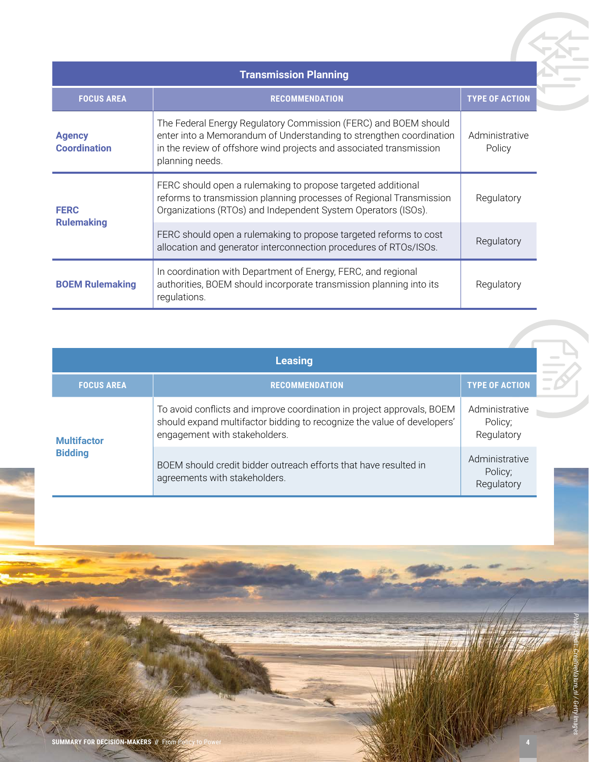| <b>Transmission Planning</b>         |                                                                                                                                                                                                                                  |                          |  |
|--------------------------------------|----------------------------------------------------------------------------------------------------------------------------------------------------------------------------------------------------------------------------------|--------------------------|--|
| <b>FOCUS AREA</b>                    | <b>RECOMMENDATION</b>                                                                                                                                                                                                            | <b>TYPE OF ACTION</b>    |  |
| <b>Agency</b><br><b>Coordination</b> | The Federal Energy Regulatory Commission (FERC) and BOEM should<br>enter into a Memorandum of Understanding to strengthen coordination<br>in the review of offshore wind projects and associated transmission<br>planning needs. | Administrative<br>Policy |  |
| <b>FERC</b><br><b>Rulemaking</b>     | FERC should open a rulemaking to propose targeted additional<br>reforms to transmission planning processes of Regional Transmission<br>Organizations (RTOs) and Independent System Operators (ISOs).                             | Regulatory               |  |
|                                      | FERC should open a rulemaking to propose targeted reforms to cost<br>allocation and generator interconnection procedures of RTOs/ISOs.                                                                                           | Regulatory               |  |
| <b>BOEM Rulemaking</b>               | In coordination with Department of Energy, FERC, and regional<br>authorities, BOEM should incorporate transmission planning into its<br>regulations.                                                                             | Regulatory               |  |

| <b>Leasing</b>     |                                                                                                                                                                                    |                       |  |
|--------------------|------------------------------------------------------------------------------------------------------------------------------------------------------------------------------------|-----------------------|--|
| <b>FOCUS AREA</b>  | <b>RECOMMENDATION</b>                                                                                                                                                              | <b>TYPE OF ACTION</b> |  |
| <b>Multifactor</b> | To avoid conflicts and improve coordination in project approvals, BOEM<br>should expand multifactor bidding to recognize the value of developers'<br>engagement with stakeholders. |                       |  |
| <b>Bidding</b>     | BOEM should credit bidder outreach efforts that have resulted in<br>agreements with stakeholders.                                                                                  |                       |  |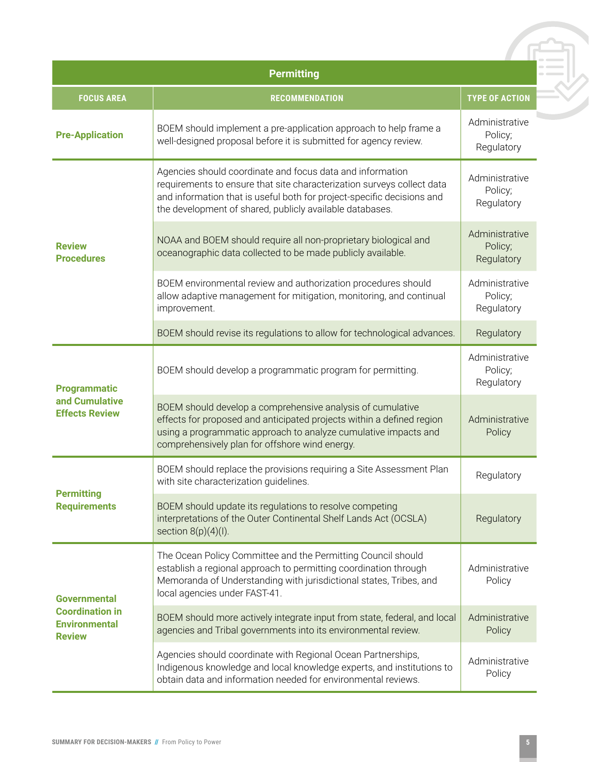| <b>Permitting</b>                                                                      |                                                                                                                                                                                                                                                                           |                                         |  |
|----------------------------------------------------------------------------------------|---------------------------------------------------------------------------------------------------------------------------------------------------------------------------------------------------------------------------------------------------------------------------|-----------------------------------------|--|
| <b>FOCUS AREA</b>                                                                      | <b>RECOMMENDATION</b>                                                                                                                                                                                                                                                     | <b>TYPE OF ACTION</b>                   |  |
| <b>Pre-Application</b>                                                                 | BOEM should implement a pre-application approach to help frame a<br>well-designed proposal before it is submitted for agency review.                                                                                                                                      | Administrative<br>Policy;<br>Regulatory |  |
| <b>Review</b><br><b>Procedures</b>                                                     | Agencies should coordinate and focus data and information<br>requirements to ensure that site characterization surveys collect data<br>and information that is useful both for project-specific decisions and<br>the development of shared, publicly available databases. | Administrative<br>Policy;<br>Regulatory |  |
|                                                                                        | NOAA and BOEM should require all non-proprietary biological and<br>oceanographic data collected to be made publicly available.                                                                                                                                            | Administrative<br>Policy;<br>Regulatory |  |
|                                                                                        | BOEM environmental review and authorization procedures should<br>allow adaptive management for mitigation, monitoring, and continual<br>improvement.                                                                                                                      | Administrative<br>Policy;<br>Regulatory |  |
|                                                                                        | BOEM should revise its regulations to allow for technological advances.                                                                                                                                                                                                   | Regulatory                              |  |
| <b>Programmatic</b><br>and Cumulative<br><b>Effects Review</b>                         | BOEM should develop a programmatic program for permitting.                                                                                                                                                                                                                | Administrative<br>Policy;<br>Regulatory |  |
|                                                                                        | BOEM should develop a comprehensive analysis of cumulative<br>effects for proposed and anticipated projects within a defined region<br>using a programmatic approach to analyze cumulative impacts and<br>comprehensively plan for offshore wind energy.                  | Administrative<br>Policy                |  |
| <b>Permitting</b><br><b>Requirements</b>                                               | BOEM should replace the provisions requiring a Site Assessment Plan<br>with site characterization guidelines.                                                                                                                                                             | Regulatory                              |  |
|                                                                                        | BOEM should update its regulations to resolve competing<br>interpretations of the Outer Continental Shelf Lands Act (OCSLA)<br>section $8(p)(4)(l)$ .                                                                                                                     | Regulatory                              |  |
| <b>Governmental</b><br><b>Coordination in</b><br><b>Environmental</b><br><b>Review</b> | The Ocean Policy Committee and the Permitting Council should<br>establish a regional approach to permitting coordination through<br>Memoranda of Understanding with jurisdictional states, Tribes, and<br>local agencies under FAST-41.                                   | Administrative<br>Policy                |  |
|                                                                                        | BOEM should more actively integrate input from state, federal, and local<br>agencies and Tribal governments into its environmental review.                                                                                                                                | Administrative<br>Policy                |  |
|                                                                                        | Agencies should coordinate with Regional Ocean Partnerships,<br>Indigenous knowledge and local knowledge experts, and institutions to<br>obtain data and information needed for environmental reviews.                                                                    | Administrative<br>Policy                |  |